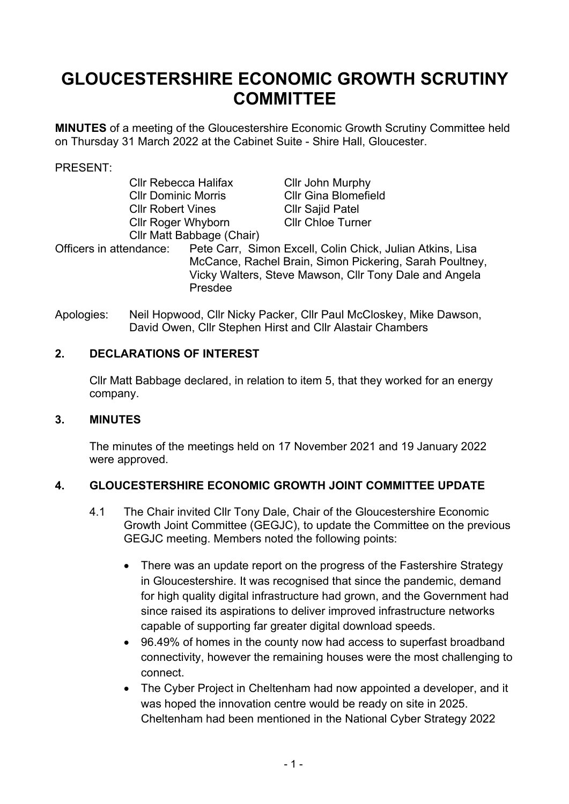# **GLOUCESTERSHIRE ECONOMIC GROWTH SCRUTINY COMMITTEE**

**MINUTES** of a meeting of the Gloucestershire Economic Growth Scrutiny Committee held on Thursday 31 March 2022 at the Cabinet Suite - Shire Hall, Gloucester.

#### PRESENT:

| <b>Cllr Rebecca Halifax</b>        |  | Cllr John Murphy                                                                                                                                                               |
|------------------------------------|--|--------------------------------------------------------------------------------------------------------------------------------------------------------------------------------|
| <b>CIIr Dominic Morris</b>         |  | <b>Cllr Gina Blomefield</b>                                                                                                                                                    |
| <b>CIIr Robert Vines</b>           |  | <b>Cllr Sajid Patel</b>                                                                                                                                                        |
| <b>Cllr Roger Whyborn</b>          |  | <b>Cllr Chloe Turner</b>                                                                                                                                                       |
| Cllr Matt Babbage (Chair)          |  |                                                                                                                                                                                |
| Officers in attendance:<br>Presdee |  | Pete Carr, Simon Excell, Colin Chick, Julian Atkins, Lisa<br>McCance, Rachel Brain, Simon Pickering, Sarah Poultney,<br>Vicky Walters, Steve Mawson, Cllr Tony Dale and Angela |

Apologies: Neil Hopwood, Cllr Nicky Packer, Cllr Paul McCloskey, Mike Dawson, David Owen, Cllr Stephen Hirst and Cllr Alastair Chambers

#### **2. DECLARATIONS OF INTEREST**

Cllr Matt Babbage declared, in relation to item 5, that they worked for an energy company.

#### **3. MINUTES**

The minutes of the meetings held on 17 November 2021 and 19 January 2022 were approved.

### **4. GLOUCESTERSHIRE ECONOMIC GROWTH JOINT COMMITTEE UPDATE**

- 4.1 The Chair invited Cllr Tony Dale, Chair of the Gloucestershire Economic Growth Joint Committee (GEGJC), to update the Committee on the previous GEGJC meeting. Members noted the following points:
	- There was an update report on the progress of the Fastershire Strategy in Gloucestershire. It was recognised that since the pandemic, demand for high quality digital infrastructure had grown, and the Government had since raised its aspirations to deliver improved infrastructure networks capable of supporting far greater digital download speeds.
	- 96.49% of homes in the county now had access to superfast broadband connectivity, however the remaining houses were the most challenging to connect.
	- The Cyber Project in Cheltenham had now appointed a developer, and it was hoped the innovation centre would be ready on site in 2025. Cheltenham had been mentioned in the National Cyber Strategy 2022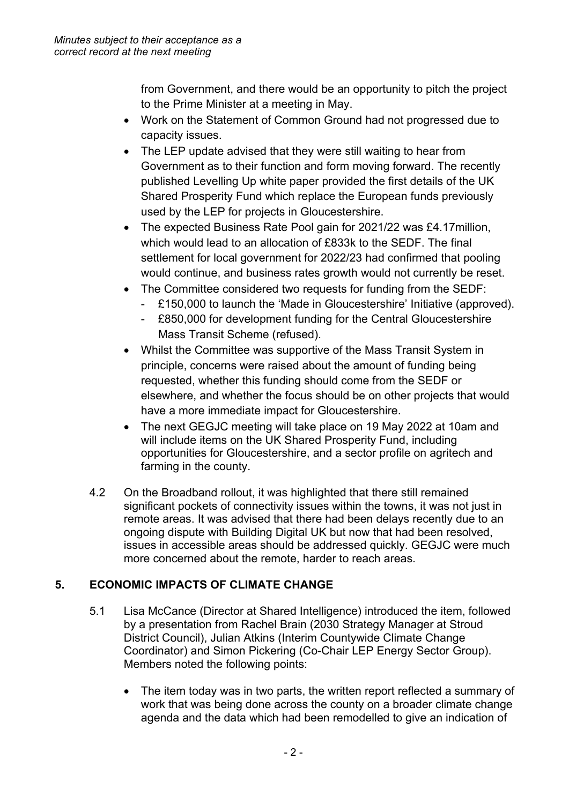from Government, and there would be an opportunity to pitch the project to the Prime Minister at a meeting in May.

- Work on the Statement of Common Ground had not progressed due to capacity issues.
- The LEP update advised that they were still waiting to hear from Government as to their function and form moving forward. The recently published Levelling Up white paper provided the first details of the UK Shared Prosperity Fund which replace the European funds previously used by the LEP for projects in Gloucestershire.
- The expected Business Rate Pool gain for 2021/22 was £4.17million, which would lead to an allocation of £833k to the SEDF. The final settlement for local government for 2022/23 had confirmed that pooling would continue, and business rates growth would not currently be reset.
- The Committee considered two requests for funding from the SEDF:
	- £150,000 to launch the 'Made in Gloucestershire' Initiative (approved).
	- £850,000 for development funding for the Central Gloucestershire Mass Transit Scheme (refused).
- Whilst the Committee was supportive of the Mass Transit System in principle, concerns were raised about the amount of funding being requested, whether this funding should come from the SEDF or elsewhere, and whether the focus should be on other projects that would have a more immediate impact for Gloucestershire.
- The next GEGJC meeting will take place on 19 May 2022 at 10am and will include items on the UK Shared Prosperity Fund, including opportunities for Gloucestershire, and a sector profile on agritech and farming in the county.
- 4.2 On the Broadband rollout, it was highlighted that there still remained significant pockets of connectivity issues within the towns, it was not just in remote areas. It was advised that there had been delays recently due to an ongoing dispute with Building Digital UK but now that had been resolved, issues in accessible areas should be addressed quickly. GEGJC were much more concerned about the remote, harder to reach areas.

## **5. ECONOMIC IMPACTS OF CLIMATE CHANGE**

- 5.1 Lisa McCance (Director at Shared Intelligence) introduced the item, followed by a presentation from Rachel Brain (2030 Strategy Manager at Stroud District Council), Julian Atkins (Interim Countywide Climate Change Coordinator) and Simon Pickering (Co-Chair LEP Energy Sector Group). Members noted the following points:
	- The item today was in two parts, the written report reflected a summary of work that was being done across the county on a broader climate change agenda and the data which had been remodelled to give an indication of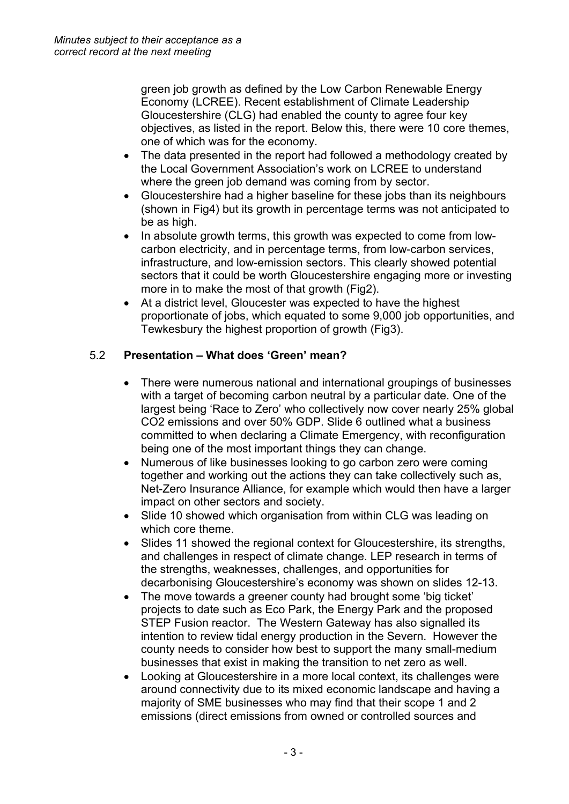green job growth as defined by the Low Carbon Renewable Energy Economy (LCREE). Recent establishment of Climate Leadership Gloucestershire (CLG) had enabled the county to agree four key objectives, as listed in the report. Below this, there were 10 core themes, one of which was for the economy.

- The data presented in the report had followed a methodology created by the Local Government Association's work on LCREE to understand where the green job demand was coming from by sector.
- Gloucestershire had a higher baseline for these jobs than its neighbours (shown in Fig4) but its growth in percentage terms was not anticipated to be as high.
- In absolute growth terms, this growth was expected to come from lowcarbon electricity, and in percentage terms, from low-carbon services, infrastructure, and low-emission sectors. This clearly showed potential sectors that it could be worth Gloucestershire engaging more or investing more in to make the most of that growth (Fig2).
- At a district level, Gloucester was expected to have the highest proportionate of jobs, which equated to some 9,000 job opportunities, and Tewkesbury the highest proportion of growth (Fig3).

## 5.2 **Presentation – What does 'Green' mean?**

- There were numerous national and international groupings of businesses with a target of becoming carbon neutral by a particular date. One of the largest being 'Race to Zero' who collectively now cover nearly 25% global CO2 emissions and over 50% GDP. Slide 6 outlined what a business committed to when declaring a Climate Emergency, with reconfiguration being one of the most important things they can change.
- Numerous of like businesses looking to go carbon zero were coming together and working out the actions they can take collectively such as, Net-Zero Insurance Alliance, for example which would then have a larger impact on other sectors and society.
- Slide 10 showed which organisation from within CLG was leading on which core theme.
- Slides 11 showed the regional context for Gloucestershire, its strengths, and challenges in respect of climate change. LEP research in terms of the strengths, weaknesses, challenges, and opportunities for decarbonising Gloucestershire's economy was shown on slides 12-13.
- The move towards a greener county had brought some 'big ticket' projects to date such as Eco Park, the Energy Park and the proposed STEP Fusion reactor. The Western Gateway has also signalled its intention to review tidal energy production in the Severn. However the county needs to consider how best to support the many small-medium businesses that exist in making the transition to net zero as well.
- Looking at Gloucestershire in a more local context, its challenges were around connectivity due to its mixed economic landscape and having a majority of SME businesses who may find that their scope 1 and 2 emissions (direct emissions from owned or controlled sources and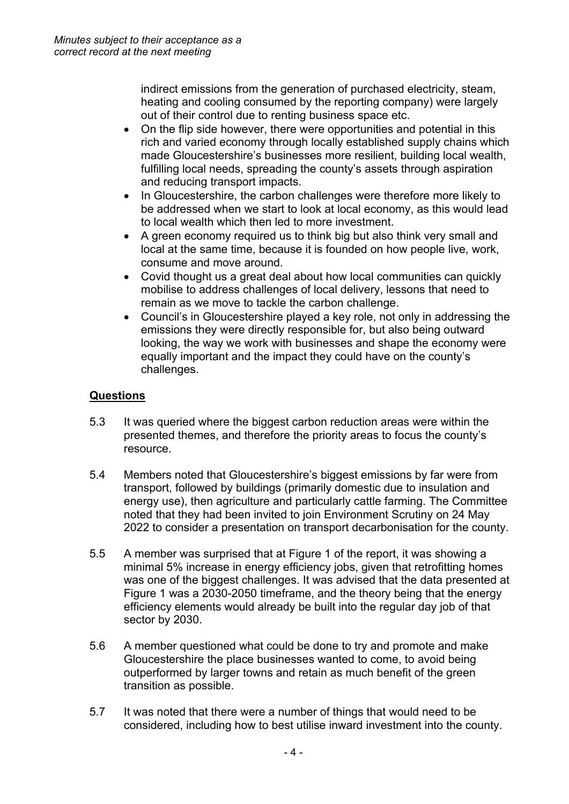indirect emissions from the generation of purchased electricity, steam, heating and cooling consumed by the reporting company) were largely out of their control due to renting business space etc.

- On the flip side however, there were opportunities and potential in this rich and varied economy through locally established supply chains which made Gloucestershire's businesses more resilient, building local wealth, fulfilling local needs, spreading the county's assets through aspiration and reducing transport impacts.
- In Gloucestershire, the carbon challenges were therefore more likely to be addressed when we start to look at local economy, as this would lead to local wealth which then led to more investment.
- A green economy required us to think big but also think very small and local at the same time, because it is founded on how people live, work, consume and move around.
- Covid thought us a great deal about how local communities can quickly mobilise to address challenges of local delivery, lessons that need to remain as we move to tackle the carbon challenge.
- Council's in Gloucestershire played a key role, not only in addressing the emissions they were directly responsible for, but also being outward looking, the way we work with businesses and shape the economy were equally important and the impact they could have on the county's challenges.

## **Questions**

- 5.3 It was queried where the biggest carbon reduction areas were within the presented themes, and therefore the priority areas to focus the county's resource.
- 5.4 Members noted that Gloucestershire's biggest emissions by far were from transport, followed by buildings (primarily domestic due to insulation and energy use), then agriculture and particularly cattle farming. The Committee noted that they had been invited to join Environment Scrutiny on 24 May 2022 to consider a presentation on transport decarbonisation for the county.
- 5.5 A member was surprised that at Figure 1 of the report, it was showing a minimal 5% increase in energy efficiency jobs, given that retrofitting homes was one of the biggest challenges. It was advised that the data presented at Figure 1 was a 2030-2050 timeframe, and the theory being that the energy efficiency elements would already be built into the regular day job of that sector by 2030.
- 5.6 A member questioned what could be done to try and promote and make Gloucestershire the place businesses wanted to come, to avoid being outperformed by larger towns and retain as much benefit of the green transition as possible.
- 5.7 It was noted that there were a number of things that would need to be considered, including how to best utilise inward investment into the county.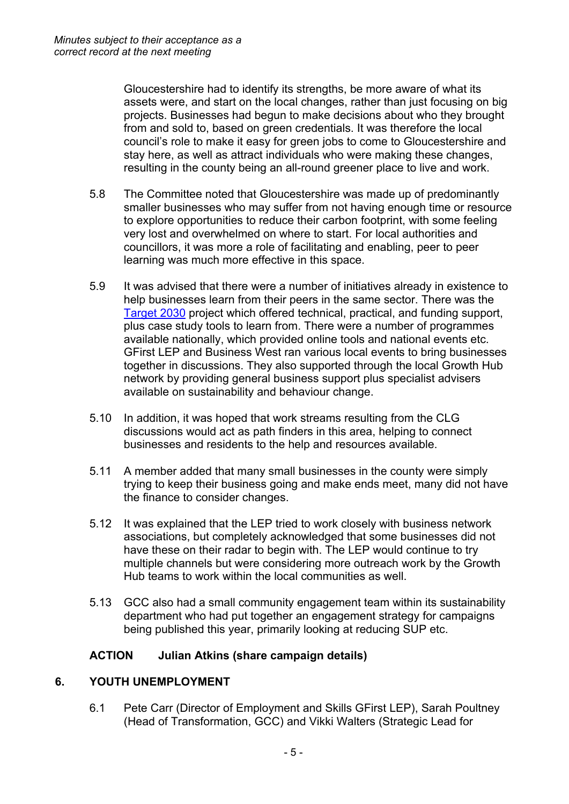Gloucestershire had to identify its strengths, be more aware of what its assets were, and start on the local changes, rather than just focusing on big projects. Businesses had begun to make decisions about who they brought from and sold to, based on green credentials. It was therefore the local council's role to make it easy for green jobs to come to Gloucestershire and stay here, as well as attract individuals who were making these changes, resulting in the county being an all-round greener place to live and work.

- 5.8 The Committee noted that Gloucestershire was made up of predominantly smaller businesses who may suffer from not having enough time or resource to explore opportunities to reduce their carbon footprint, with some feeling very lost and overwhelmed on where to start. For local authorities and councillors, it was more a role of facilitating and enabling, peer to peer learning was much more effective in this space.
- 5.9 It was advised that there were a number of initiatives already in existence to help businesses learn from their peers in the same sector. There was the [Target](https://target2030.co.uk/) 2030 project which offered technical, practical, and funding support, plus case study tools to learn from. There were a number of programmes available nationally, which provided online tools and national events etc. GFirst LEP and Business West ran various local events to bring businesses together in discussions. They also supported through the local Growth Hub network by providing general business support plus specialist advisers available on sustainability and behaviour change.
- 5.10 In addition, it was hoped that work streams resulting from the CLG discussions would act as path finders in this area, helping to connect businesses and residents to the help and resources available.
- 5.11 A member added that many small businesses in the county were simply trying to keep their business going and make ends meet, many did not have the finance to consider changes.
- 5.12 It was explained that the LEP tried to work closely with business network associations, but completely acknowledged that some businesses did not have these on their radar to begin with. The LEP would continue to try multiple channels but were considering more outreach work by the Growth Hub teams to work within the local communities as well.
- 5.13 GCC also had a small community engagement team within its sustainability department who had put together an engagement strategy for campaigns being published this year, primarily looking at reducing SUP etc.

### **ACTION Julian Atkins (share campaign details)**

### **6. YOUTH UNEMPLOYMENT**

6.1 Pete Carr (Director of Employment and Skills GFirst LEP), Sarah Poultney (Head of Transformation, GCC) and Vikki Walters (Strategic Lead for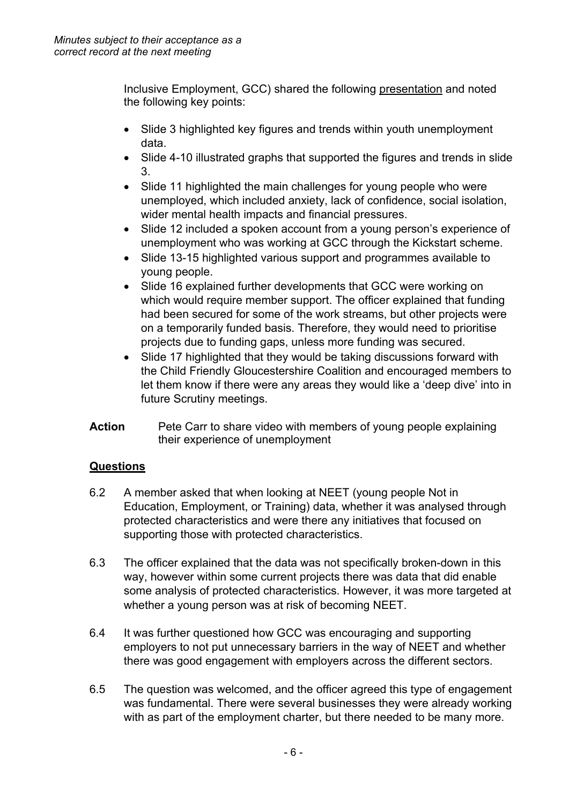Inclusive Employment, GCC) shared the following [presentation](https://glostext.gloucestershire.gov.uk/documents/s80712/Youth%20Unemployment%20Presentation%20for%20Economic%20Scrutiny%20Committee%20March%202022.pdf) and noted the following key points:

- Slide 3 highlighted key figures and trends within youth unemployment data.
- Slide 4-10 illustrated graphs that supported the figures and trends in slide 3.
- Slide 11 highlighted the main challenges for young people who were unemployed, which included anxiety, lack of confidence, social isolation, wider mental health impacts and financial pressures.
- Slide 12 included a spoken account from a young person's experience of unemployment who was working at GCC through the Kickstart scheme.
- Slide 13-15 highlighted various support and programmes available to young people.
- Slide 16 explained further developments that GCC were working on which would require member support. The officer explained that funding had been secured for some of the work streams, but other projects were on a temporarily funded basis. Therefore, they would need to prioritise projects due to funding gaps, unless more funding was secured.
- Slide 17 highlighted that they would be taking discussions forward with the Child Friendly Gloucestershire Coalition and encouraged members to let them know if there were any areas they would like a 'deep dive' into in future Scrutiny meetings.
- **Action** Pete Carr to share video with members of young people explaining their experience of unemployment

## **Questions**

- 6.2 A member asked that when looking at NEET (young people Not in Education, Employment, or Training) data, whether it was analysed through protected characteristics and were there any initiatives that focused on supporting those with protected characteristics.
- 6.3 The officer explained that the data was not specifically broken-down in this way, however within some current projects there was data that did enable some analysis of protected characteristics. However, it was more targeted at whether a young person was at risk of becoming NEET.
- 6.4 It was further questioned how GCC was encouraging and supporting employers to not put unnecessary barriers in the way of NEET and whether there was good engagement with employers across the different sectors.
- 6.5 The question was welcomed, and the officer agreed this type of engagement was fundamental. There were several businesses they were already working with as part of the employment charter, but there needed to be many more.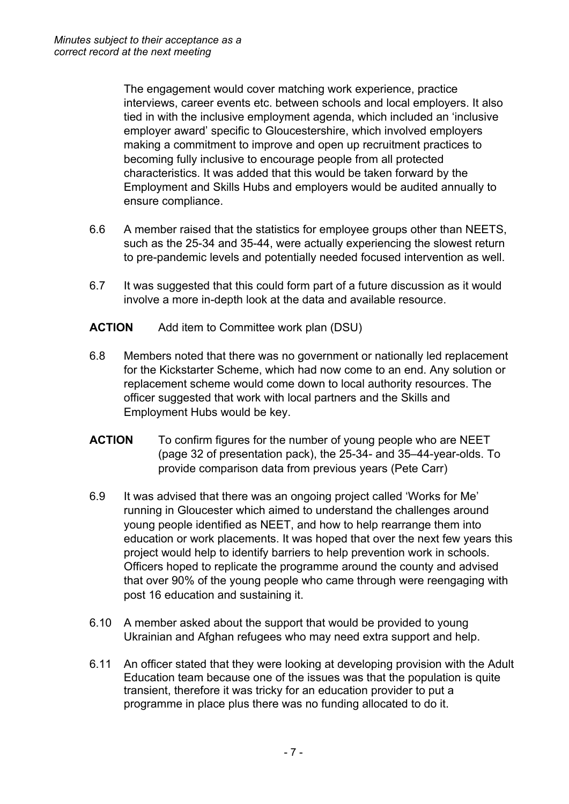The engagement would cover matching work experience, practice interviews, career events etc. between schools and local employers. It also tied in with the inclusive employment agenda, which included an 'inclusive employer award' specific to Gloucestershire, which involved employers making a commitment to improve and open up recruitment practices to becoming fully inclusive to encourage people from all protected characteristics. It was added that this would be taken forward by the Employment and Skills Hubs and employers would be audited annually to ensure compliance.

- 6.6 A member raised that the statistics for employee groups other than NEETS, such as the 25-34 and 35-44, were actually experiencing the slowest return to pre-pandemic levels and potentially needed focused intervention as well.
- 6.7 It was suggested that this could form part of a future discussion as it would involve a more in-depth look at the data and available resource.
- **ACTION** Add item to Committee work plan (DSU)
- 6.8 Members noted that there was no government or nationally led replacement for the Kickstarter Scheme, which had now come to an end. Any solution or replacement scheme would come down to local authority resources. The officer suggested that work with local partners and the Skills and Employment Hubs would be key.
- **ACTION** To confirm figures for the number of young people who are NEET (page 32 of presentation pack), the 25-34- and 35–44-year-olds. To provide comparison data from previous years (Pete Carr)
- 6.9 It was advised that there was an ongoing project called 'Works for Me' running in Gloucester which aimed to understand the challenges around young people identified as NEET, and how to help rearrange them into education or work placements. It was hoped that over the next few years this project would help to identify barriers to help prevention work in schools. Officers hoped to replicate the programme around the county and advised that over 90% of the young people who came through were reengaging with post 16 education and sustaining it.
- 6.10 A member asked about the support that would be provided to young Ukrainian and Afghan refugees who may need extra support and help.
- 6.11 An officer stated that they were looking at developing provision with the Adult Education team because one of the issues was that the population is quite transient, therefore it was tricky for an education provider to put a programme in place plus there was no funding allocated to do it.